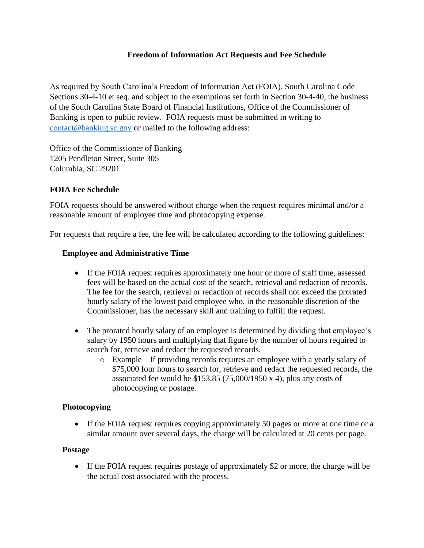# **Freedom of Information Act Requests and Fee Schedule**

As required by South Carolina's Freedom of Information Act (FOIA), South Carolina Code Sections 30-4-10 et seq. and subject to the exemptions set forth in Section 30-4-40, the business of the South Carolina State Board of Financial Institutions, Office of the Commissioner of Banking is open to public review. FOIA requests must be submitted in writing to [contact@banking.sc.gov](mailto:contact@banking.sc.gov) or mailed to the following address:

Office of the Commissioner of Banking 1205 Pendleton Street, Suite 305 Columbia, SC 29201

# **FOIA Fee Schedule**

FOIA requests should be answered without charge when the request requires minimal and/or a reasonable amount of employee time and photocopying expense.

For requests that require a fee, the fee will be calculated according to the following guidelines:

# **Employee and Administrative Time**

- If the FOIA request requires approximately one hour or more of staff time, assessed fees will be based on the actual cost of the search, retrieval and redaction of records. The fee for the search, retrieval or redaction of records shall not exceed the prorated hourly salary of the lowest paid employee who, in the reasonable discretion of the Commissioner, has the necessary skill and training to fulfill the request.
- The prorated hourly salary of an employee is determined by dividing that employee's salary by 1950 hours and multiplying that figure by the number of hours required to search for, retrieve and redact the requested records.
	- o Example If providing records requires an employee with a yearly salary of \$75,000 four hours to search for, retrieve and redact the requested records, the associated fee would be \$153.85 (75,000/1950 x 4), plus any costs of photocopying or postage.

## **Photocopying**

• If the FOIA request requires copying approximately 50 pages or more at one time or a similar amount over several days, the charge will be calculated at 20 cents per page.

## **Postage**

• If the FOIA request requires postage of approximately \$2 or more, the charge will be the actual cost associated with the process.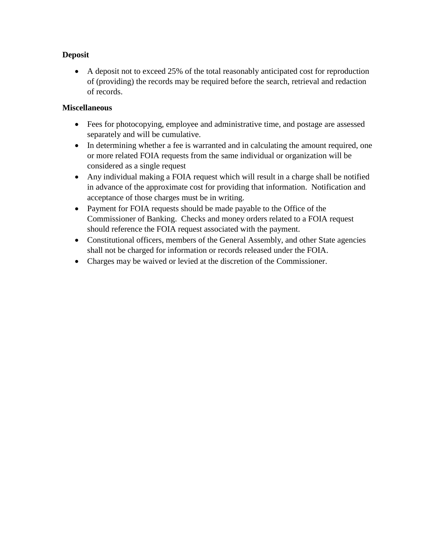# **Deposit**

• A deposit not to exceed 25% of the total reasonably anticipated cost for reproduction of (providing) the records may be required before the search, retrieval and redaction of records.

# **Miscellaneous**

- Fees for photocopying, employee and administrative time, and postage are assessed separately and will be cumulative.
- In determining whether a fee is warranted and in calculating the amount required, one or more related FOIA requests from the same individual or organization will be considered as a single request
- Any individual making a FOIA request which will result in a charge shall be notified in advance of the approximate cost for providing that information. Notification and acceptance of those charges must be in writing.
- Payment for FOIA requests should be made payable to the Office of the Commissioner of Banking. Checks and money orders related to a FOIA request should reference the FOIA request associated with the payment.
- Constitutional officers, members of the General Assembly, and other State agencies shall not be charged for information or records released under the FOIA.
- Charges may be waived or levied at the discretion of the Commissioner.